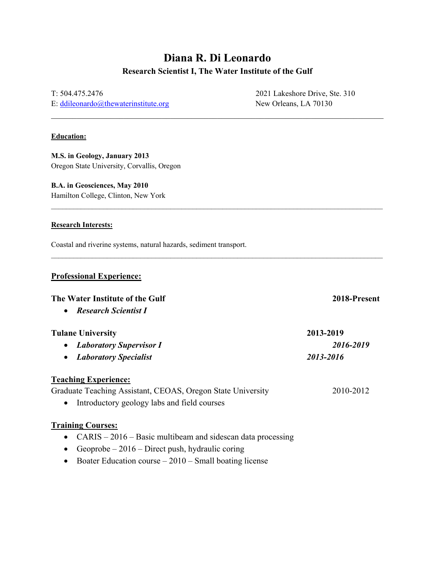# **Diana R. Di Leonardo Research Scientist I, The Water Institute of the Gulf**

\_\_\_\_\_\_\_\_\_\_\_\_\_\_\_\_\_\_\_\_\_\_\_\_\_\_\_\_\_\_\_\_\_\_\_\_\_\_\_\_\_\_\_\_\_\_\_\_\_\_\_\_\_\_\_\_\_\_\_\_\_\_\_\_\_\_\_\_\_\_\_\_\_\_\_\_\_\_

 $\mathcal{L}_\mathcal{L} = \mathcal{L}_\mathcal{L} = \mathcal{L}_\mathcal{L} = \mathcal{L}_\mathcal{L} = \mathcal{L}_\mathcal{L} = \mathcal{L}_\mathcal{L} = \mathcal{L}_\mathcal{L} = \mathcal{L}_\mathcal{L} = \mathcal{L}_\mathcal{L} = \mathcal{L}_\mathcal{L} = \mathcal{L}_\mathcal{L} = \mathcal{L}_\mathcal{L} = \mathcal{L}_\mathcal{L} = \mathcal{L}_\mathcal{L} = \mathcal{L}_\mathcal{L} = \mathcal{L}_\mathcal{L} = \mathcal{L}_\mathcal{L}$ 

 $\mathcal{L}_\text{max}$ 

T: 504.475.2476 2021 Lakeshore Drive, Ste. 310 E: [ddileonardo@thewaterinstitute.org](mailto:ddileonardo@thewaterinstitute.org) New Orleans, LA 70130

#### **Education:**

**M.S. in Geology, January 2013** Oregon State University, Corvallis, Oregon

# **B.A. in Geosciences, May 2010**

Hamilton College, Clinton, New York

#### **Research Interests:**

Coastal and riverine systems, natural hazards, sediment transport.

#### **Professional Experience:**

#### **The Water Institute of the Gulf 2018-Present**

• *Research Scientist I*

## **Tulane University 2013-2019**

| • Laboratory Supervisor I | 2016-2019 |
|---------------------------|-----------|
|                           |           |

• *Laboratory Specialist 2013-2016*

## **Teaching Experience:**

# Graduate Teaching Assistant, CEOAS, Oregon State University 2010-2012

• Introductory geology labs and field courses

## **Training Courses:**

- CARIS 2016 Basic multibeam and sidescan data processing
- Geoprobe  $-2016$  Direct push, hydraulic coring
- Boater Education course  $-2010$  Small boating license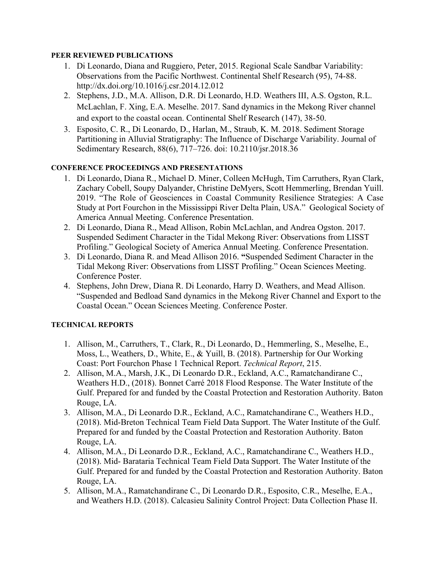## **PEER REVIEWED PUBLICATIONS**

- 1. Di Leonardo, Diana and Ruggiero, Peter, 2015. Regional Scale Sandbar Variability: Observations from the Pacific Northwest. Continental Shelf Research (95), 74-88. http://dx.doi.org/10.1016/j.csr.2014.12.012
- 2. Stephens, J.D., M.A. Allison, D.R. Di Leonardo, H.D. Weathers III, A.S. Ogston, R.L. McLachlan, F. Xing, E.A. Meselhe. 2017. Sand dynamics in the Mekong River channel and export to the coastal ocean. Continental Shelf Research (147), 38-50.
- 3. Esposito, C. R., Di Leonardo, D., Harlan, M., Straub, K. M. 2018. Sediment Storage Partitioning in Alluvial Stratigraphy: The Influence of Discharge Variability. Journal of Sedimentary Research, 88(6), 717–726. doi: 10.2110/jsr.2018.36

# **CONFERENCE PROCEEDINGS AND PRESENTATIONS**

- 1. Di Leonardo, Diana R., Michael D. Miner, Colleen McHugh, Tim Carruthers, Ryan Clark, Zachary Cobell, Soupy Dalyander, Christine DeMyers, Scott Hemmerling, Brendan Yuill. 2019. "The Role of Geosciences in Coastal Community Resilience Strategies: A Case Study at Port Fourchon in the Mississippi River Delta Plain, USA." Geological Society of America Annual Meeting. Conference Presentation.
- 2. Di Leonardo, Diana R., Mead Allison, Robin McLachlan, and Andrea Ogston. 2017. Suspended Sediment Character in the Tidal Mekong River: Observations from LISST Profiling." Geological Society of America Annual Meeting. Conference Presentation.
- 3. Di Leonardo, Diana R. and Mead Allison 2016. **"**Suspended Sediment Character in the Tidal Mekong River: Observations from LISST Profiling." Ocean Sciences Meeting. Conference Poster.
- 4. Stephens, John Drew, Diana R. Di Leonardo, Harry D. Weathers, and Mead Allison. "Suspended and Bedload Sand dynamics in the Mekong River Channel and Export to the Coastal Ocean." Ocean Sciences Meeting. Conference Poster.

## **TECHNICAL REPORTS**

- 1. Allison, M., Carruthers, T., Clark, R., Di Leonardo, D., Hemmerling, S., Meselhe, E., Moss, L., Weathers, D., White, E., & Yuill, B. (2018). Partnership for Our Working Coast: Port Fourchon Phase 1 Technical Report. *Technical Report*, 215.
- 2. Allison, M.A., Marsh, J.K., Di Leonardo D.R., Eckland, A.C., Ramatchandirane C., Weathers H.D., (2018). Bonnet Carré 2018 Flood Response. The Water Institute of the Gulf. Prepared for and funded by the Coastal Protection and Restoration Authority. Baton Rouge, LA.
- 3. Allison, M.A., Di Leonardo D.R., Eckland, A.C., Ramatchandirane C., Weathers H.D., (2018). Mid-Breton Technical Team Field Data Support. The Water Institute of the Gulf. Prepared for and funded by the Coastal Protection and Restoration Authority. Baton Rouge, LA.
- 4. Allison, M.A., Di Leonardo D.R., Eckland, A.C., Ramatchandirane C., Weathers H.D., (2018). Mid- Barataria Technical Team Field Data Support. The Water Institute of the Gulf. Prepared for and funded by the Coastal Protection and Restoration Authority. Baton Rouge, LA.
- 5. Allison, M.A., Ramatchandirane C., Di Leonardo D.R., Esposito, C.R., Meselhe, E.A., and Weathers H.D. (2018). Calcasieu Salinity Control Project: Data Collection Phase II.